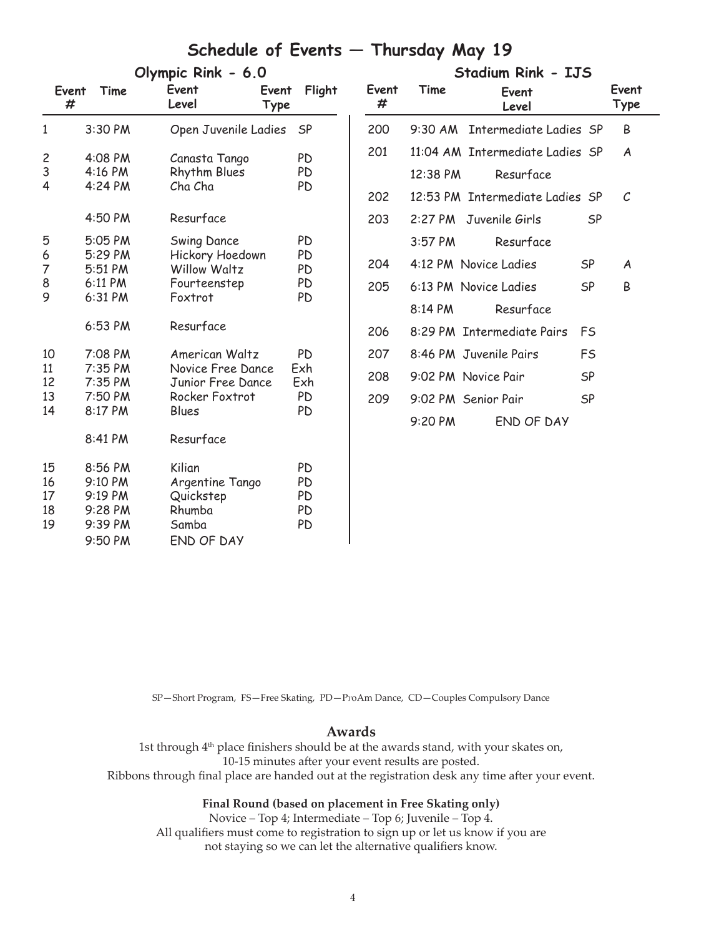## **Schedule of Events — Thursday May 19**

| Olympic Rink - 6.0      |         |                                 |           |  |
|-------------------------|---------|---------------------------------|-----------|--|
| Event<br>#              | Time    | Event<br>Event<br>Level<br>Type | Flight    |  |
| $\mathbf{1}$            | 3:30 PM | Open Juvenile Ladies            | <b>SP</b> |  |
| $\overline{\mathbf{c}}$ | 4:08 PM | Canasta Tango                   | PD        |  |
| 3                       | 4:16 PM | <b>Rhythm Blues</b>             | PD        |  |
| 4                       | 4:24 PM | Cha Cha                         | PD        |  |
|                         | 4:50 PM | Resurface                       |           |  |
| 5                       | 5:05 PM | Swing Dance                     | PD        |  |
| 6                       | 5:29 PM | Hickory Hoedown                 | PD        |  |
| 7                       | 5:51 PM | <b>Willow Waltz</b>             | PD        |  |
| 8                       | 6:11 PM | Fourteenstep                    | PD        |  |
| 9                       | 6:31 PM | Foxtrot                         | PD        |  |
|                         | 6:53 PM | Resurface                       |           |  |
| 10                      | 7:08 PM | American Waltz                  | PD        |  |
| 11                      | 7:35 PM | Novice Free Dance               | Exh       |  |
| 12                      | 7:35 PM | Junior Free Dance               | Exh       |  |
| 13                      | 7:50 PM | Rocker Foxtrot                  | PD        |  |
| 14                      | 8:17 PM | Blues                           | PD        |  |
|                         | 8:41 PM | Resurface                       |           |  |
| 15                      | 8:56 PM | Kilian                          | PD        |  |
| 16                      | 9:10 PM | Argentine Tango                 | PD        |  |
| 17                      | 9:19 PM | Quickstep                       | PD        |  |
| 18                      | 9:28 PM | Rhumba                          | PD        |  |
| 19                      | 9:39 PM | Samba                           | PD        |  |
|                         | 9:50 PM | END OF DAY                      |           |  |

| Stadium Rink - IJS |          |                                 |           |               |  |  |
|--------------------|----------|---------------------------------|-----------|---------------|--|--|
| Event<br>#         | Time     | Event<br>Level                  |           | Event<br>Type |  |  |
| 200                |          | 9:30 AM Intermediate Ladies SP  |           | B             |  |  |
| 201                |          | 11:04 AM Intermediate Ladies SP |           | A             |  |  |
|                    | 12:38 PM | Resurface                       |           |               |  |  |
| 202                |          | 12:53 PM Intermediate Ladies SP |           | C.            |  |  |
| 203                |          | 2:27 PM Juvenile Girls          | SP        |               |  |  |
|                    | 3:57 PM  | Resurface                       |           |               |  |  |
| 204                |          | 4:12 PM Novice Ladies           | SP        | A             |  |  |
| 205                |          | 6:13 PM Novice Ladies           | <b>SP</b> | R             |  |  |
|                    | 8:14 PM  | Resurface                       |           |               |  |  |
| 206                |          | 8:29 PM Intermediate Pairs      | FS        |               |  |  |
| 207                |          | 8:46 PM Juvenile Pairs          | FS        |               |  |  |
| 208                |          | 9:02 PM Novice Pair             | <b>SP</b> |               |  |  |
| 209                |          | 9:02 PM Senior Pair             | SP        |               |  |  |
|                    | 9:20 PM  | FND OF DAY                      |           |               |  |  |

SP—Short Program, FS—Free Skating, PD—ProAm Dance, CD—Couples Compulsory Dance

#### **Awards**

1st through 4<sup>th</sup> place finishers should be at the awards stand, with your skates on, 10-15 minutes after your event results are posted. Ribbons through final place are handed out at the registration desk any time after your event.

#### **Final Round (based on placement in Free Skating only)**

Novice – Top 4; Intermediate – Top 6; Juvenile – Top 4. All qualifiers must come to registration to sign up or let us know if you are not staying so we can let the alternative qualifiers know.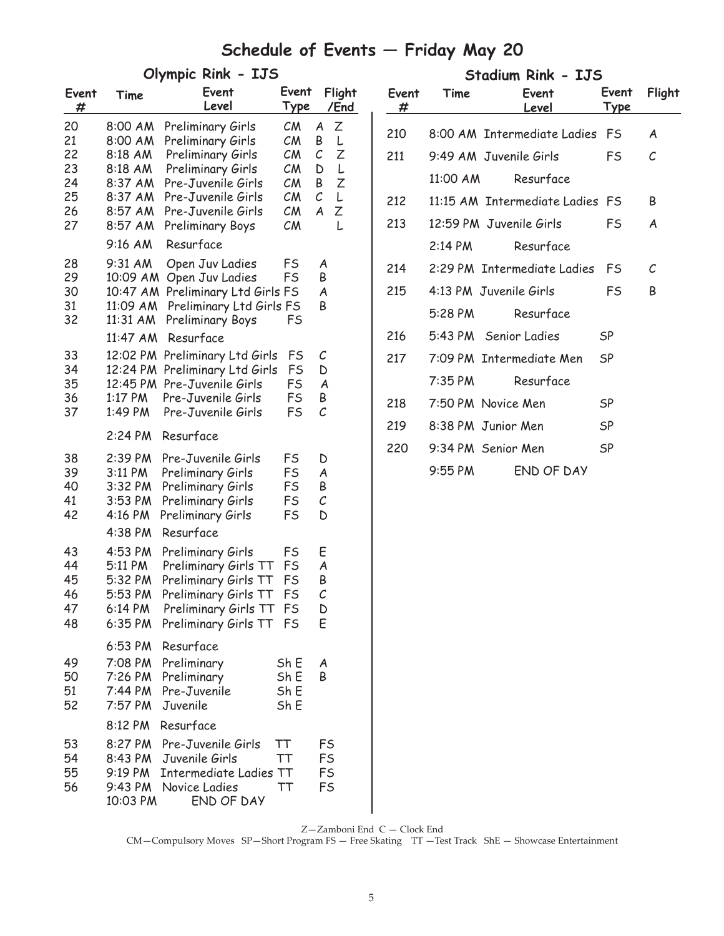# **Schedule of Events — Friday May 20**

| Event<br>#                                   | Time                                                                                 | Event<br>Level                                                                                                                                                                | Event<br><u>Type</u>                                 |                                                        | Flight<br>/End                       |
|----------------------------------------------|--------------------------------------------------------------------------------------|-------------------------------------------------------------------------------------------------------------------------------------------------------------------------------|------------------------------------------------------|--------------------------------------------------------|--------------------------------------|
| 20<br>21<br>22<br>23<br>24<br>25<br>26<br>27 | 8:00 AM<br>8:00 AM<br>8:18 AM<br>8:18 AM<br>8:37 AM<br>8:37 AM<br>8:57 AM<br>8:57 AM | Preliminary Girls<br>Preliminary Girls<br>Preliminary Girls<br>Preliminary Girls<br>Pre-Juvenile Girls<br>Pre-Juvenile Girls<br>Pre-Juvenile Girls<br><b>Preliminary Boys</b> | CM<br>CM<br>CM<br>CM<br>CM<br>CM<br>CM<br>CM         | A<br>Β<br>$\mathcal{C}_{0}$<br>D<br>B<br>$\cal C$<br>A | Ζ<br>L<br>Ζ<br>L<br>Ζ<br>L<br>Ζ<br>L |
| 28<br>29<br>30<br>31<br>32                   | 9:16 AM<br>9:31 AM<br>10:09 AM<br>10:47 AM<br>11:09 AM<br>11:31 AM<br>11:47 AM       | Resurface<br>Open Juv Ladies<br>Open Juv Ladies<br>Preliminary Ltd Girls FS<br>Preliminary Ltd Girls FS<br>Preliminary Boys<br>Resurface                                      | FS<br><b>FS</b><br>FS                                | A<br>Β<br>A<br>Β                                       |                                      |
| 33<br>34<br>35<br>36<br>37                   | 12:02 PM<br>12:24 PM<br>12:45 PM<br>1:17 PM<br>1:49 PM                               | Preliminary Ltd Girls<br>Preliminary Ltd Girls<br>Pre-Juvenile Girls<br>Pre-Juvenile Girls<br>Pre-Juvenile Girls                                                              | <b>FS</b><br>FS<br><b>FS</b><br>FS<br>FS             | С<br>D<br>A<br>Β<br>С                                  |                                      |
|                                              | 2:24 PM                                                                              | Resurface                                                                                                                                                                     |                                                      |                                                        |                                      |
| 38<br>39<br>40<br>41<br>42                   | 2:39 PM<br>3:11 PM<br>3:32 PM<br>3:53 PM<br>4:16 PM                                  | Pre-Juvenile Girls<br>Preliminary Girls<br>Preliminary Girls<br>Preliminary Girls<br>Preliminary Girls<br>Resurface                                                           | FS<br><b>FS</b><br><b>FS</b><br>FS<br><b>FS</b>      | D<br>A<br>Β<br>С<br>D                                  |                                      |
| 43<br>44<br>45<br>46<br>47<br>48             | 4:38 PM<br>4:53 PM<br>5:11 PM<br>5:32 PM<br>5:53 PM<br>6:14 PM                       | Preliminary Girls<br>Preliminary Girls TT<br>Preliminary Girls TT<br>Preliminary Girls TT<br>Preliminary Girls TT<br>6:35 PM Preliminary Girls TT FS                          | FS<br><b>FS</b><br>FS<br><b>FS</b><br>F <sub>S</sub> | Ε<br>A<br>Β<br>$\mathcal{C}_{0}^{2}$<br>D<br>E         |                                      |
| 49<br>50<br>51<br>52                         | 6:53 PM<br>7:08 PM<br>7:26 PM<br>7:44 PM<br>7:57 PM                                  | Resurface<br>Preliminary<br>Preliminary<br>Pre-Juvenile<br>Juvenile                                                                                                           | Sh E<br>Sh E<br>Sh E<br>Sh E                         | A<br>Β                                                 |                                      |
|                                              | 8:12 PM                                                                              | Resurface                                                                                                                                                                     |                                                      |                                                        |                                      |
| 53<br>54<br>55<br>56                         | 9:19 PM<br>10:03 PM                                                                  | 8:27 PM Pre-Juvenile Girls<br>8:43 PM Juvenile Girls<br><b>Intermediate Ladies TT</b><br>9:43 PM Novice Ladies<br>END OF DAY                                                  | ТT<br>TT<br>TT                                       | FS<br><b>FS</b><br><b>FS</b><br>FS                     |                                      |

| Olympic Rink - IJS |                                                         |                             |                       | Stadium Rink - IJS |            |           |                                 |                      |               |
|--------------------|---------------------------------------------------------|-----------------------------|-----------------------|--------------------|------------|-----------|---------------------------------|----------------------|---------------|
|                    | Event<br>Level                                          | Event<br>Type               |                       | Flight<br>/End     | Event<br># | Time      | Event<br>Level                  | Event<br><b>Type</b> | Flight        |
| ١M<br>١M           | Preliminary Girls<br>Preliminary Girls                  | CM<br>CM                    | $\boldsymbol{A}$<br>Β | Z<br>L             | 210        |           | 8:00 AM Intermediate Ladies     | FS                   | A             |
| M                  | Preliminary Girls                                       | $\mathcal{C}M$              | $\mathcal C$          | Z                  | 211        |           | 9:49 AM Juvenile Girls          | FS.                  | $\mathcal{C}$ |
| M<br>١M            | Preliminary Girls<br>Pre-Juvenile Girls                 | CM<br>CM                    | D<br>B Z              | $\mathsf{L}$       |            | 11:00 AM  | Resurface                       |                      |               |
| ١M                 | Pre-Juvenile Girls                                      | $\mathcal{C}M$              | $\mathcal C$          | L                  | 212        |           | 11:15 AM Intermediate Ladies FS |                      | B             |
| ١M<br>١M           | Pre-Juvenile Girls<br>Preliminary Boys                  | CM<br>CM                    | A                     | Ζ<br>L             | 213        |           | 12:59 PM Juvenile Girls         | FS                   | A             |
| W                  | Resurface                                               |                             |                       |                    |            | 2:14 PM   | Resurface                       |                      |               |
| M                  | Open Juv Ladies<br>AM Open Juv Ladies                   | <b>FS</b><br>F <sub>S</sub> | A<br>B                |                    | 214        |           | 2:29 PM Intermediate Ladies     | FS                   | C             |
|                    | AM Preliminary Ltd Girls FS                             |                             | A                     |                    | 215        |           | 4:13 PM Juvenile Girls          | <b>FS</b>            | B             |
| 9M -               | AM Preliminary Ltd Girls FS<br>Preliminary Boys         | FS                          | B                     |                    |            | $5:28$ PM | Resurface                       |                      |               |
|                    | AM Resurface                                            |                             |                       |                    | 216        |           | 5:43 PM Senior Ladies           | SP                   |               |
|                    | PM Preliminary Ltd Girls FS<br>PM Preliminary Ltd Girls | <b>FS</b>                   | C<br>D                |                    | 217        |           | 7:09 PM Intermediate Men        | SP                   |               |
|                    | PM Pre-Juvenile Girls                                   | F <sub>S</sub>              | A                     |                    |            | 7:35 PM   | Resurface                       |                      |               |
| W.<br>M            | Pre-Juvenile Girls<br>Pre-Juvenile Girls                | FS<br><b>FS</b>             | B<br>$\mathcal{C}$    |                    | 218        |           | 7:50 PM Novice Men              | SP                   |               |
|                    |                                                         |                             |                       |                    | 219        |           | 8:38 PM Junior Men              | SP                   |               |
| 'M                 | Resurface                                               |                             |                       |                    | 220        |           | 9:34 PM Senior Men              | SP                   |               |
| 'M<br>N            | Pre-Juvenile Girls<br><b>Preliminary Girls</b>          | FS<br><b>FS</b>             | D<br>A                |                    |            | $9:55$ PM | END OF DAY                      |                      |               |

Z—Zamboni End C — Clock End

CM—Compulsory Moves SP—Short Program FS — Free Skating TT —Test Track ShE — Showcase Entertainment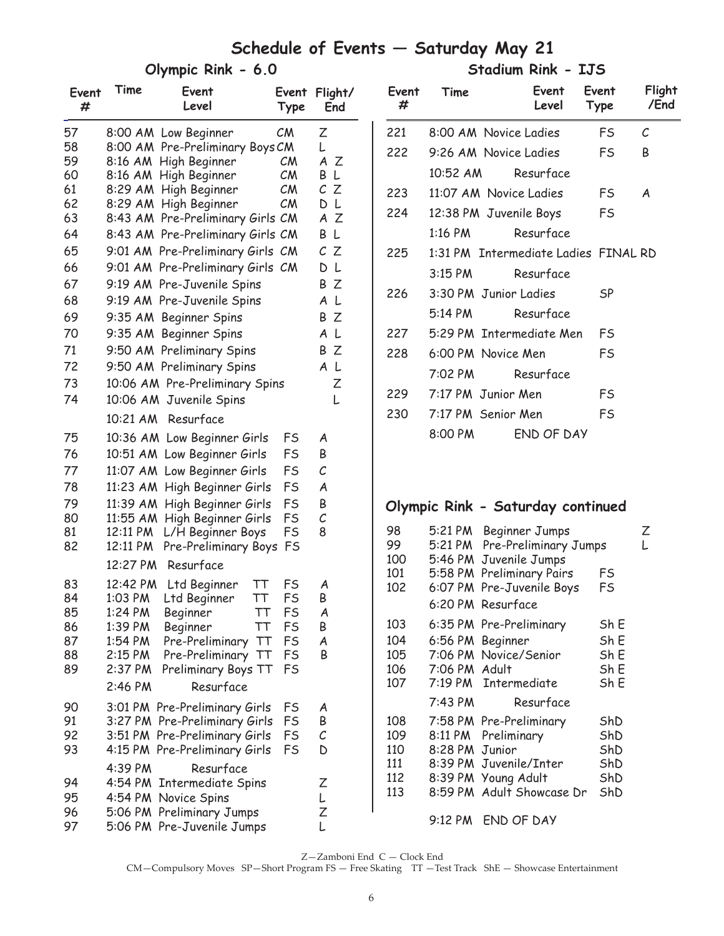## **Schedule of Events — Saturday May 21**

#### **Olympic Rink - 6.0**

 **Stadium Rink - IJS** 

| Event<br># | Time                 | Event<br>Level                                          | Event<br>Type  | Flight/<br>End    |
|------------|----------------------|---------------------------------------------------------|----------------|-------------------|
| 57         |                      | 8:00 AM Low Beginner                                    | CM             | Ζ                 |
| 58         |                      | 8:00 AM Pre-Preliminary Boys CM                         |                | L                 |
| 59         |                      | 8:16 AM High Beginner                                   | CM             | A<br>Ζ            |
| 60         |                      | 8:16 AM High Beginner                                   | $\mathcal{C}M$ | L<br>B            |
| 61         |                      | 8:29 AM High Beginner                                   | $\mathcal{C}M$ | $\mathcal C$<br>Ζ |
| 62<br>63   | 8:43 AM              | 8:29 AM High Beginner<br>Pre-Preliminary Girls CM       | $\mathcal{C}M$ | DL<br>A Z         |
| 64         | 8:43 AM              | Pre-Preliminary Girls CM                                |                | L<br>Β            |
| 65         | 9:01 AM              | Pre-Preliminary Girls                                   | CM             | CZ                |
| 66         |                      | 9:01 AM Pre-Preliminary Girls CM                        |                | L<br>D            |
| 67         |                      | 9:19 AM Pre-Juvenile Spins                              |                | Ζ<br>Β            |
| 68         | 9:19 AM              |                                                         |                | L<br>A            |
| 69         |                      | Pre-Juvenile Spins                                      |                | Ζ<br>B            |
| 70         |                      | 9:35 AM Beginner Spins                                  |                | A<br>L            |
| 71         |                      | 9:35 AM Beginner Spins<br>9:50 AM Preliminary Spins     |                | Ζ<br>B            |
| 72         |                      |                                                         |                | A L               |
| 73         |                      | 9:50 AM Preliminary Spins                               |                |                   |
| 74         |                      | 10:06 AM Pre-Preliminary Spins                          |                | Ζ<br>L            |
|            |                      | 10:06 AM Juvenile Spins                                 |                |                   |
|            | 10:21 AM             | Resurface                                               |                |                   |
| 75         |                      | 10:36 AM Low Beginner Girls                             | FS             | A                 |
| 76         |                      | 10:51 AM Low Beginner Girls                             | FS             | B                 |
| 77         | 11:07 AM             | Low Beginner Girls                                      | FS             | C                 |
| 78         | 11:23 AM             | High Beginner Girls                                     | <b>FS</b>      | A                 |
| 79         | 11:39 AM             | High Beginner Girls                                     | <b>FS</b>      | B                 |
| 80<br>81   | 11:55 AM<br>12:11 PM | High Beginner Girls                                     | FS<br>FS       | С<br>8            |
| 82         | 12:11 PM             | L/H Beginner Boys<br>Pre-Preliminary Boys               | FS             |                   |
|            | 12:27 PM             | Resurface                                               |                |                   |
| 83         | 12:42 PM             | Ltd Beginner<br>ТT                                      | FS             | A                 |
| 84         | 1:03 PM              | ТT<br>Ltd Beginner                                      | FS             | B                 |
| 85         | 1:24 PM              | ТT<br>Beginner                                          | FS             | A                 |
| 86         | 1:39 PM              | ТT<br>Beginner                                          | FS             | Β                 |
| 87<br>88   | 1:54 PM<br>2:15 PM   | Pre-Preliminary<br>TT                                   | FS<br>FS       | A<br>Β            |
| 89         | 2:37 PM              | Pre-Preliminary<br>ТT<br>Preliminary Boys TT            | FS             |                   |
|            | 2:46 PM              | Resurface                                               |                |                   |
| 90         |                      | 3:01 PM Pre-Preliminary Girls                           | FS             | A                 |
| 91         |                      | 3:27 PM Pre-Preliminary Girls                           | FS             | Β                 |
| 92         |                      | 3:51 PM Pre-Preliminary Girls                           | FS             | С                 |
| 93         |                      | 4:15 PM Pre-Preliminary Girls                           | <b>FS</b>      | D                 |
|            | 4:39 PM              | Resurface                                               |                |                   |
| 94         |                      | 4:54 PM Intermediate Spins                              |                | Ζ                 |
| 95         |                      | 4:54 PM Novice Spins                                    |                | L                 |
| 96<br>97   |                      | 5:06 PM Preliminary Jumps<br>5:06 PM Pre-Juvenile Jumps |                | Ζ<br>L            |
|            |                      |                                                         |                |                   |

| Event<br># | Time              | Event<br>Level                       | Event<br>Type | Flight<br>/End |
|------------|-------------------|--------------------------------------|---------------|----------------|
| 221        |                   | 8:00 AM Novice Ladies                | FS            | C.             |
| 222        |                   | 9:26 AM Novice Ladies                | FS.           | R              |
|            | 10:52 AM          | Resurface                            |               |                |
| 223        |                   | 11:07 AM Novice Ladies               | FS            | A              |
| 224        |                   | 12:38 PM Juvenile Boys               | FS            |                |
|            | 1:16 PM           | Resurface                            |               |                |
| 225        |                   | 1:31 PM Intermediate Ladies FINAL RD |               |                |
|            | $3:15$ PM         | Resurface                            |               |                |
| 226        |                   | 3:30 PM Junior Ladies                | SP            |                |
|            | $5:14 \text{ PM}$ | Resurface                            |               |                |
| 227        |                   | 5:29 PM Intermediate Men             | FS            |                |
| 228        |                   | 6:00 PM Novice Men                   | FS            |                |
|            |                   | 7:02 PM Resurface                    |               |                |
| 229        |                   | 7:17 PM Junior Men                   | FS            |                |
| 230        |                   | 7:17 PM Senior Men                   | FS            |                |
|            | 8:00 PM           | FND OF DAY                           |               |                |
|            |                   |                                      |               |                |

## **Olympic Rink - Saturday continued**

| 98<br>99<br>100                        | 5:21 PM<br>5:21 PM<br>5:46 PM       | Beginner Jumps<br>Pre-Preliminary Jumps<br>Juvenile Jumps                                                                    |                                        | Z<br>L |
|----------------------------------------|-------------------------------------|------------------------------------------------------------------------------------------------------------------------------|----------------------------------------|--------|
| 101<br>102                             | 5:58 PM<br>6:07 PM<br>6:20 PM       | <b>Preliminary Pairs</b><br>Pre-Juvenile Boys<br>Resurface                                                                   | FS<br>FS                               |        |
| 103                                    |                                     | 6:35 PM Pre-Preliminary                                                                                                      | Sh E                                   |        |
| 104<br>105<br>106<br>107               | 6:56 PM<br>7:06 PM<br>7:06 PM Adult | Beginner<br>Novice/Senior<br>7:19 PM Intermediate                                                                            | Sh E<br>Sh E<br>Sh E<br>Sh E           |        |
|                                        | 7:43 PM                             | Resurface                                                                                                                    |                                        |        |
| 108<br>109<br>110<br>111<br>112<br>113 | 8:28 PM Junior                      | 7:58 PM Pre-Preliminary<br>8:11 PM Preliminary<br>8:39 PM Juvenile/Inter<br>8:39 PM Young Adult<br>8:59 PM Adult Showcase Dr | ShD<br>ShD<br>ShD<br>ShD<br>ShD<br>ShD |        |
|                                        | 9:12 PM                             | END OF DAY                                                                                                                   |                                        |        |

Z—Zamboni End C — Clock End

CM—Compulsory Moves SP—Short Program FS — Free Skating TT —Test Track ShE — Showcase Entertainment